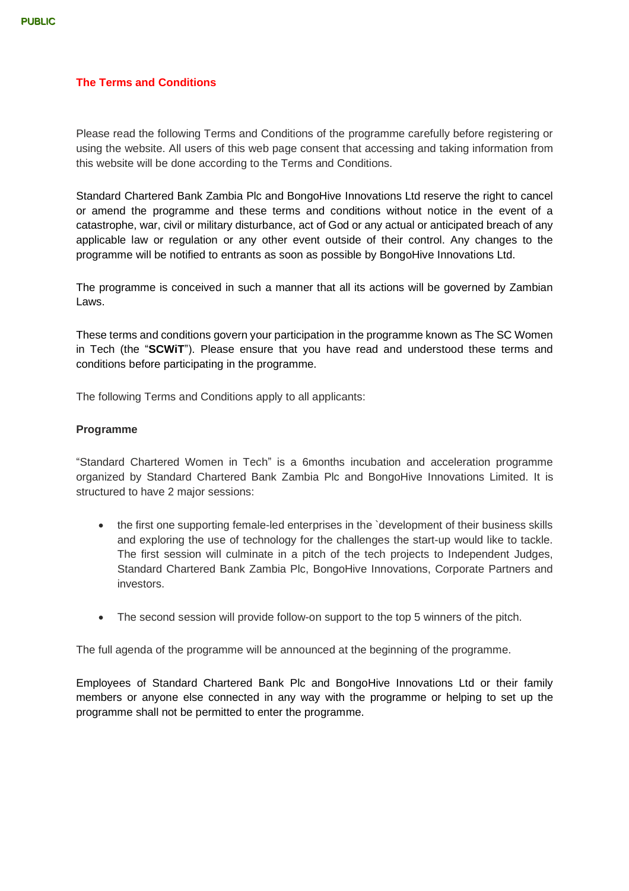### **The Terms and Conditions**

Please read the following Terms and Conditions of the programme carefully before registering or using the website. All users of this web page consent that accessing and taking information from this website will be done according to the Terms and Conditions.

Standard Chartered Bank Zambia Plc and BongoHive Innovations Ltd reserve the right to cancel or amend the programme and these terms and conditions without notice in the event of a catastrophe, war, civil or military disturbance, act of God or any actual or anticipated breach of any applicable law or regulation or any other event outside of their control. Any changes to the programme will be notified to entrants as soon as possible by BongoHive Innovations Ltd.

The programme is conceived in such a manner that all its actions will be governed by Zambian Laws.

These terms and conditions govern your participation in the programme known as The SC Women in Tech (the "**SCWiT**"). Please ensure that you have read and understood these terms and conditions before participating in the programme.

The following Terms and Conditions apply to all applicants:

### **Programme**

"Standard Chartered Women in Tech" is a 6months incubation and acceleration programme organized by Standard Chartered Bank Zambia Plc and BongoHive Innovations Limited. It is structured to have 2 major sessions:

- the first one supporting female-led enterprises in the `development of their business skills and exploring the use of technology for the challenges the start-up would like to tackle. The first session will culminate in a pitch of the tech projects to Independent Judges, Standard Chartered Bank Zambia Plc, BongoHive Innovations, Corporate Partners and investors.
- The second session will provide follow-on support to the top 5 winners of the pitch.

The full agenda of the programme will be announced at the beginning of the programme.

Employees of Standard Chartered Bank Plc and BongoHive Innovations Ltd or their family members or anyone else connected in any way with the programme or helping to set up the programme shall not be permitted to enter the programme.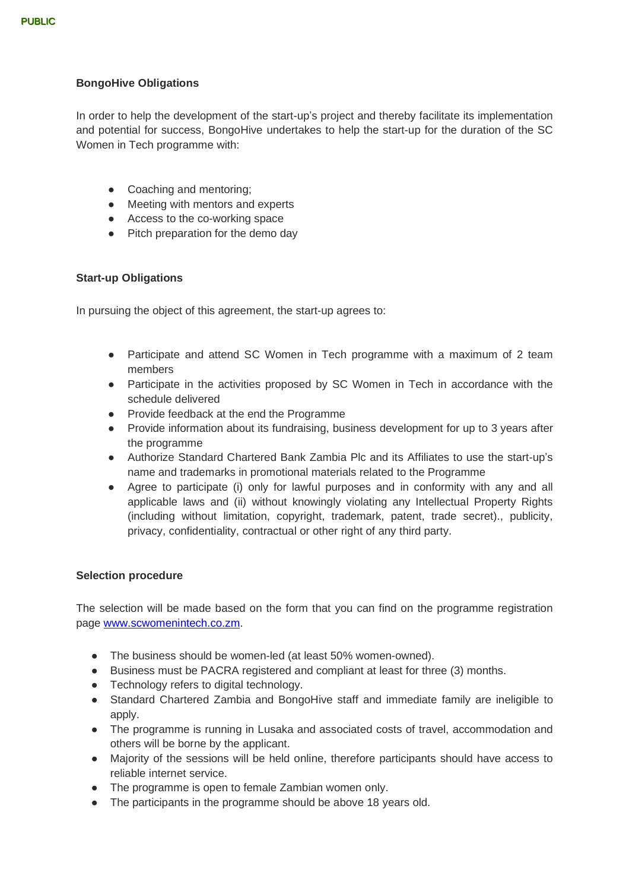# **BongoHive Obligations**

In order to help the development of the start-up's project and thereby facilitate its implementation and potential for success, BongoHive undertakes to help the start-up for the duration of the SC Women in Tech programme with:

- Coaching and mentoring;
- Meeting with mentors and experts
- Access to the co-working space
- Pitch preparation for the demo day

## **Start-up Obligations**

In pursuing the object of this agreement, the start-up agrees to:

- Participate and attend SC Women in Tech programme with a maximum of 2 team members
- Participate in the activities proposed by SC Women in Tech in accordance with the schedule delivered
- Provide feedback at the end the Programme
- Provide information about its fundraising, business development for up to 3 years after the programme
- Authorize Standard Chartered Bank Zambia Plc and its Affiliates to use the start-up's name and trademarks in promotional materials related to the Programme
- Agree to participate (i) only for lawful purposes and in conformity with any and all applicable laws and (ii) without knowingly violating any Intellectual Property Rights (including without limitation, copyright, trademark, patent, trade secret)., publicity, privacy, confidentiality, contractual or other right of any third party.

## **Selection procedure**

The selection will be made based on the form that you can find on the programme registration page [www.scwomenintech.co.zm.](http://www.scwomenintech.co.zm/)

- The business should be women-led (at least 50% women-owned).
- Business must be PACRA registered and compliant at least for three (3) months.
- Technology refers to digital technology.
- Standard Chartered Zambia and BongoHive staff and immediate family are ineligible to apply.
- The programme is running in Lusaka and associated costs of travel, accommodation and others will be borne by the applicant.
- Majority of the sessions will be held online, therefore participants should have access to reliable internet service.
- The programme is open to female Zambian women only.
- The participants in the programme should be above 18 years old.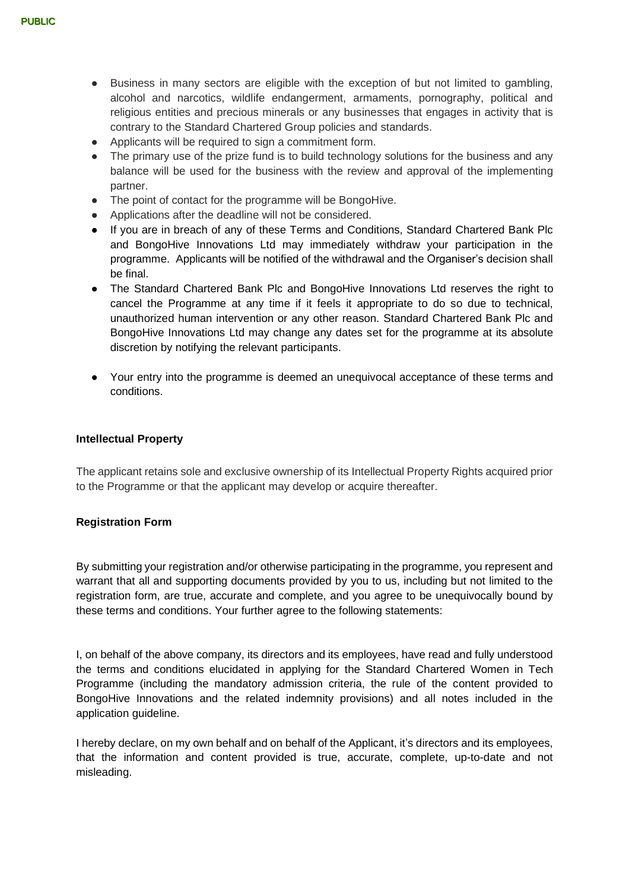- Business in many sectors are eligible with the exception of but not limited to gambling, alcohol and narcotics, wildlife endangerment, armaments, pornography, political and religious entities and precious minerals or any businesses that engages in activity that is contrary to the Standard Chartered Group policies and standards.
- Applicants will be required to sign a commitment form.
- The primary use of the prize fund is to build technology solutions for the business and any balance will be used for the business with the review and approval of the implementing partner.
- The point of contact for the programme will be BongoHive.
- Applications after the deadline will not be considered.
- If you are in breach of any of these Terms and Conditions, Standard Chartered Bank Plc and BongoHive Innovations Ltd may immediately withdraw your participation in the programme. Applicants will be notified of the withdrawal and the Organiser's decision shall be final.
- The Standard Chartered Bank Plc and BongoHive Innovations Ltd reserves the right to cancel the Programme at any time if it feels it appropriate to do so due to technical, unauthorized human intervention or any other reason. Standard Chartered Bank Plc and BongoHive Innovations Ltd may change any dates set for the programme at its absolute discretion by notifying the relevant participants.
- Your entry into the programme is deemed an unequivocal acceptance of these terms and conditions.

#### **Intellectual Property**

The applicant retains sole and exclusive ownership of its Intellectual Property Rights acquired prior to the Programme or that the applicant may develop or acquire thereafter.

#### **Registration Form**

By submitting your registration and/or otherwise participating in the programme, you represent and warrant that all and supporting documents provided by you to us, including but not limited to the registration form, are true, accurate and complete, and you agree to be unequivocally bound by these terms and conditions. Your further agree to the following statements:

I, on behalf of the above company, its directors and its employees, have read and fully understood the terms and conditions elucidated in applying for the Standard Chartered Women in Tech Programme (including the mandatory admission criteria, the rule of the content provided to BongoHive Innovations and the related indemnity provisions) and all notes included in the application guideline.

I hereby declare, on my own behalf and on behalf of the Applicant, it's directors and its employees, that the information and content provided is true, accurate, complete, up-to-date and not misleading.